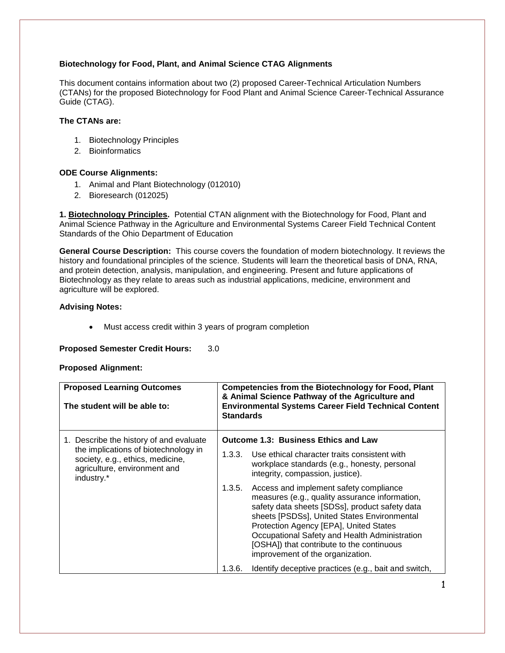# **Biotechnology for Food, Plant, and Animal Science CTAG Alignments**

This document contains information about two (2) proposed Career-Technical Articulation Numbers (CTANs) for the proposed Biotechnology for Food Plant and Animal Science Career-Technical Assurance Guide (CTAG).

## **The CTANs are:**

- 1. Biotechnology Principles
- 2. Bioinformatics

# **ODE Course Alignments:**

- 1. Animal and Plant Biotechnology (012010)
- 2. Bioresearch (012025)

**1. Biotechnology Principles.** Potential CTAN alignment with the Biotechnology for Food, Plant and Animal Science Pathway in the Agriculture and Environmental Systems Career Field Technical Content Standards of the Ohio Department of Education

**General Course Description:** This course covers the foundation of modern biotechnology. It reviews the history and foundational principles of the science. Students will learn the theoretical basis of DNA, RNA, and protein detection, analysis, manipulation, and engineering. Present and future applications of Biotechnology as they relate to areas such as industrial applications, medicine, environment and agriculture will be explored.

### **Advising Notes:**

Must access credit within 3 years of program completion

#### **Proposed Semester Credit Hours:** 3.0

#### **Proposed Alignment:**

| <b>Proposed Learning Outcomes</b><br>The student will be able to:                                                                                                 | <b>Competencies from the Biotechnology for Food, Plant</b><br>& Animal Science Pathway of the Agriculture and<br><b>Environmental Systems Career Field Technical Content</b><br><b>Standards</b> |                                                                                                                                                                                                                                                                                                                                                                       |
|-------------------------------------------------------------------------------------------------------------------------------------------------------------------|--------------------------------------------------------------------------------------------------------------------------------------------------------------------------------------------------|-----------------------------------------------------------------------------------------------------------------------------------------------------------------------------------------------------------------------------------------------------------------------------------------------------------------------------------------------------------------------|
| 1. Describe the history of and evaluate<br>the implications of biotechnology in<br>society, e.g., ethics, medicine,<br>agriculture, environment and<br>industry.* | <b>Outcome 1.3: Business Ethics and Law</b>                                                                                                                                                      |                                                                                                                                                                                                                                                                                                                                                                       |
|                                                                                                                                                                   | 1.3.3.                                                                                                                                                                                           | Use ethical character traits consistent with<br>workplace standards (e.g., honesty, personal<br>integrity, compassion, justice).                                                                                                                                                                                                                                      |
|                                                                                                                                                                   | 1.3.5.                                                                                                                                                                                           | Access and implement safety compliance<br>measures (e.g., quality assurance information,<br>safety data sheets [SDSs], product safety data<br>sheets [PSDSs], United States Environmental<br>Protection Agency [EPA], United States<br>Occupational Safety and Health Administration<br>[OSHA]) that contribute to the continuous<br>improvement of the organization. |
|                                                                                                                                                                   | 1.3.6.                                                                                                                                                                                           | Identify deceptive practices (e.g., bait and switch,                                                                                                                                                                                                                                                                                                                  |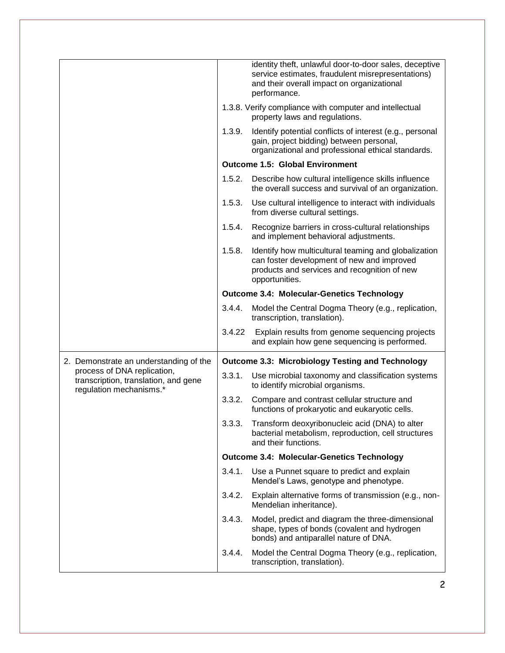|                                                                                                |        | identity theft, unlawful door-to-door sales, deceptive<br>service estimates, fraudulent misrepresentations)<br>and their overall impact on organizational<br>performance. |
|------------------------------------------------------------------------------------------------|--------|---------------------------------------------------------------------------------------------------------------------------------------------------------------------------|
|                                                                                                |        | 1.3.8. Verify compliance with computer and intellectual<br>property laws and regulations.                                                                                 |
|                                                                                                | 1.3.9. | Identify potential conflicts of interest (e.g., personal<br>gain, project bidding) between personal,<br>organizational and professional ethical standards.                |
|                                                                                                |        | <b>Outcome 1.5: Global Environment</b>                                                                                                                                    |
|                                                                                                | 1.5.2. | Describe how cultural intelligence skills influence<br>the overall success and survival of an organization.                                                               |
|                                                                                                | 1.5.3. | Use cultural intelligence to interact with individuals<br>from diverse cultural settings.                                                                                 |
|                                                                                                | 1.5.4. | Recognize barriers in cross-cultural relationships<br>and implement behavioral adjustments.                                                                               |
|                                                                                                | 1.5.8. | Identify how multicultural teaming and globalization<br>can foster development of new and improved<br>products and services and recognition of new<br>opportunities.      |
|                                                                                                |        | <b>Outcome 3.4: Molecular-Genetics Technology</b>                                                                                                                         |
|                                                                                                | 3.4.4. | Model the Central Dogma Theory (e.g., replication,<br>transcription, translation).                                                                                        |
|                                                                                                | 3.4.22 | Explain results from genome sequencing projects<br>and explain how gene sequencing is performed.                                                                          |
| 2. Demonstrate an understanding of the                                                         |        | <b>Outcome 3.3: Microbiology Testing and Technology</b>                                                                                                                   |
| process of DNA replication,<br>transcription, translation, and gene<br>regulation mechanisms.* | 3.3.1. | Use microbial taxonomy and classification systems<br>to identify microbial organisms.                                                                                     |
|                                                                                                | 3.3.2. | Compare and contrast cellular structure and<br>functions of prokaryotic and eukaryotic cells.                                                                             |
|                                                                                                | 3.3.3. | Transform deoxyribonucleic acid (DNA) to alter<br>bacterial metabolism, reproduction, cell structures<br>and their functions.                                             |
|                                                                                                |        | <b>Outcome 3.4: Molecular-Genetics Technology</b>                                                                                                                         |
|                                                                                                | 3.4.1. | Use a Punnet square to predict and explain<br>Mendel's Laws, genotype and phenotype.                                                                                      |
|                                                                                                | 3.4.2. | Explain alternative forms of transmission (e.g., non-<br>Mendelian inheritance).                                                                                          |
|                                                                                                | 3.4.3. | Model, predict and diagram the three-dimensional<br>shape, types of bonds (covalent and hydrogen<br>bonds) and antiparallel nature of DNA.                                |
|                                                                                                | 3.4.4. | Model the Central Dogma Theory (e.g., replication,<br>transcription, translation).                                                                                        |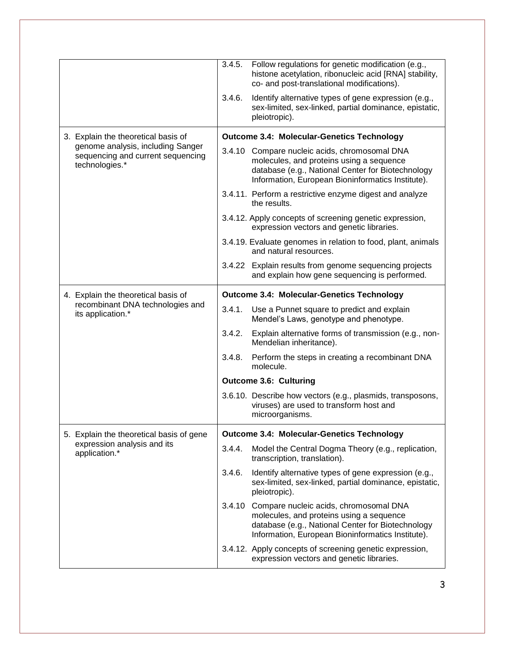|                                                                                              | 3.4.5.                                            | Follow regulations for genetic modification (e.g.,<br>histone acetylation, ribonucleic acid [RNA] stability,<br>co- and post-translational modifications).                                          |  |  |
|----------------------------------------------------------------------------------------------|---------------------------------------------------|-----------------------------------------------------------------------------------------------------------------------------------------------------------------------------------------------------|--|--|
|                                                                                              | 3.4.6.                                            | Identify alternative types of gene expression (e.g.,<br>sex-limited, sex-linked, partial dominance, epistatic,<br>pleiotropic).                                                                     |  |  |
| 3. Explain the theoretical basis of                                                          |                                                   | <b>Outcome 3.4: Molecular-Genetics Technology</b>                                                                                                                                                   |  |  |
| genome analysis, including Sanger<br>sequencing and current sequencing<br>technologies.*     |                                                   | 3.4.10 Compare nucleic acids, chromosomal DNA<br>molecules, and proteins using a sequence<br>database (e.g., National Center for Biotechnology<br>Information, European Bioninformatics Institute). |  |  |
|                                                                                              |                                                   | 3.4.11. Perform a restrictive enzyme digest and analyze<br>the results.                                                                                                                             |  |  |
|                                                                                              |                                                   | 3.4.12. Apply concepts of screening genetic expression,<br>expression vectors and genetic libraries.                                                                                                |  |  |
|                                                                                              |                                                   | 3.4.19. Evaluate genomes in relation to food, plant, animals<br>and natural resources.                                                                                                              |  |  |
|                                                                                              |                                                   | 3.4.22 Explain results from genome sequencing projects<br>and explain how gene sequencing is performed.                                                                                             |  |  |
| 4. Explain the theoretical basis of<br>recombinant DNA technologies and<br>its application.* | <b>Outcome 3.4: Molecular-Genetics Technology</b> |                                                                                                                                                                                                     |  |  |
|                                                                                              | 3.4.1.                                            | Use a Punnet square to predict and explain<br>Mendel's Laws, genotype and phenotype.                                                                                                                |  |  |
|                                                                                              | 3.4.2.                                            | Explain alternative forms of transmission (e.g., non-<br>Mendelian inheritance).                                                                                                                    |  |  |
|                                                                                              | 3.4.8.                                            | Perform the steps in creating a recombinant DNA<br>molecule.                                                                                                                                        |  |  |
|                                                                                              |                                                   | <b>Outcome 3.6: Culturing</b>                                                                                                                                                                       |  |  |
|                                                                                              |                                                   | 3.6.10. Describe how vectors (e.g., plasmids, transposons,<br>viruses) are used to transform host and<br>microorganisms.                                                                            |  |  |
| 5. Explain the theoretical basis of gene                                                     | <b>Outcome 3.4: Molecular-Genetics Technology</b> |                                                                                                                                                                                                     |  |  |
| expression analysis and its<br>application.*                                                 |                                                   |                                                                                                                                                                                                     |  |  |
|                                                                                              | 3.4.4.                                            | Model the Central Dogma Theory (e.g., replication,<br>transcription, translation).                                                                                                                  |  |  |
|                                                                                              | 3.4.6.                                            | Identify alternative types of gene expression (e.g.,<br>sex-limited, sex-linked, partial dominance, epistatic,<br>pleiotropic).                                                                     |  |  |
|                                                                                              |                                                   | 3.4.10 Compare nucleic acids, chromosomal DNA<br>molecules, and proteins using a sequence<br>database (e.g., National Center for Biotechnology<br>Information, European Bioninformatics Institute). |  |  |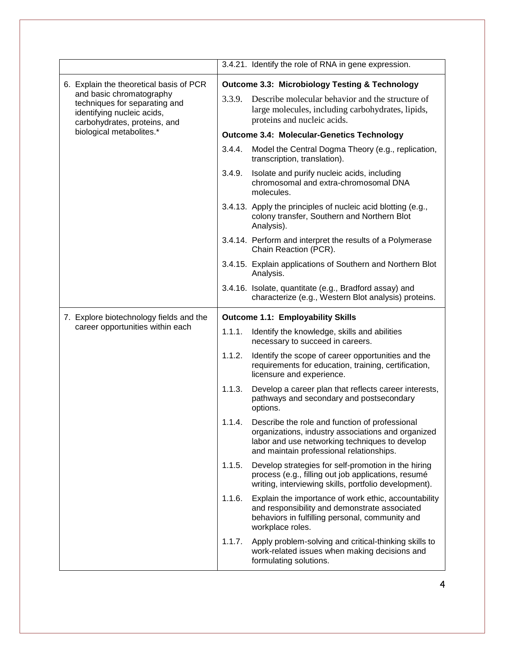|                                                                                                                                                                    |                                                           | 3.4.21. Identify the role of RNA in gene expression.                                                                                                                                               |  |  |
|--------------------------------------------------------------------------------------------------------------------------------------------------------------------|-----------------------------------------------------------|----------------------------------------------------------------------------------------------------------------------------------------------------------------------------------------------------|--|--|
| 6. Explain the theoretical basis of PCR<br>and basic chromatography<br>techniques for separating and<br>identifying nucleic acids,<br>carbohydrates, proteins, and | <b>Outcome 3.3: Microbiology Testing &amp; Technology</b> |                                                                                                                                                                                                    |  |  |
|                                                                                                                                                                    | 3.3.9.                                                    | Describe molecular behavior and the structure of<br>large molecules, including carbohydrates, lipids,<br>proteins and nucleic acids.                                                               |  |  |
| biological metabolites.*                                                                                                                                           |                                                           | <b>Outcome 3.4: Molecular-Genetics Technology</b>                                                                                                                                                  |  |  |
|                                                                                                                                                                    | 3.4.4.                                                    | Model the Central Dogma Theory (e.g., replication,<br>transcription, translation).                                                                                                                 |  |  |
|                                                                                                                                                                    | 3.4.9.                                                    | Isolate and purify nucleic acids, including<br>chromosomal and extra-chromosomal DNA<br>molecules.                                                                                                 |  |  |
|                                                                                                                                                                    |                                                           | 3.4.13. Apply the principles of nucleic acid blotting (e.g.,<br>colony transfer, Southern and Northern Blot<br>Analysis).                                                                          |  |  |
|                                                                                                                                                                    |                                                           | 3.4.14. Perform and interpret the results of a Polymerase<br>Chain Reaction (PCR).                                                                                                                 |  |  |
|                                                                                                                                                                    |                                                           | 3.4.15. Explain applications of Southern and Northern Blot<br>Analysis.                                                                                                                            |  |  |
|                                                                                                                                                                    |                                                           | 3.4.16. Isolate, quantitate (e.g., Bradford assay) and<br>characterize (e.g., Western Blot analysis) proteins.                                                                                     |  |  |
| 7. Explore biotechnology fields and the                                                                                                                            | <b>Outcome 1.1: Employability Skills</b>                  |                                                                                                                                                                                                    |  |  |
| career opportunities within each                                                                                                                                   | 1.1.1.                                                    | Identify the knowledge, skills and abilities<br>necessary to succeed in careers.                                                                                                                   |  |  |
|                                                                                                                                                                    | 1.1.2.                                                    | Identify the scope of career opportunities and the<br>requirements for education, training, certification,<br>licensure and experience.                                                            |  |  |
|                                                                                                                                                                    | 1.1.3.                                                    | Develop a career plan that reflects career interests,<br>pathways and secondary and postsecondary<br>options.                                                                                      |  |  |
|                                                                                                                                                                    | 1.1.4.                                                    | Describe the role and function of professional<br>organizations, industry associations and organized<br>labor and use networking techniques to develop<br>and maintain professional relationships. |  |  |
|                                                                                                                                                                    | 1.1.5.                                                    | Develop strategies for self-promotion in the hiring<br>process (e.g., filling out job applications, resumé<br>writing, interviewing skills, portfolio development).                                |  |  |
|                                                                                                                                                                    | 1.1.6.                                                    | Explain the importance of work ethic, accountability<br>and responsibility and demonstrate associated<br>behaviors in fulfilling personal, community and<br>workplace roles.                       |  |  |
|                                                                                                                                                                    | 1.1.7.                                                    | Apply problem-solving and critical-thinking skills to<br>work-related issues when making decisions and<br>formulating solutions.                                                                   |  |  |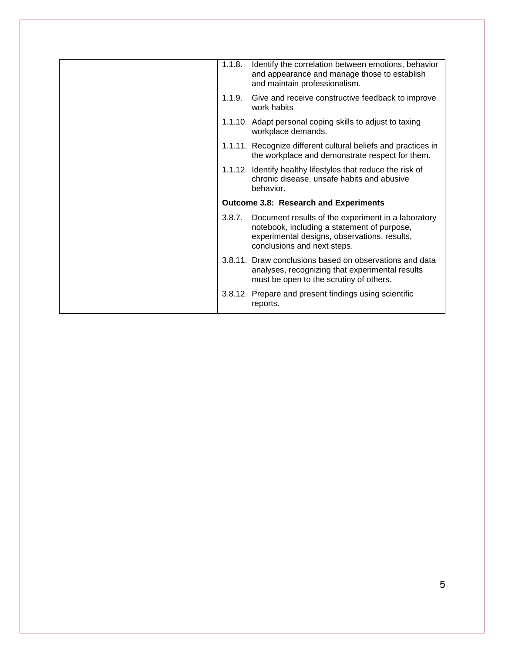| 1.1.8. | Identify the correlation between emotions, behavior<br>and appearance and manage those to establish<br>and maintain professionalism.                                             |
|--------|----------------------------------------------------------------------------------------------------------------------------------------------------------------------------------|
|        | 1.1.9. Give and receive constructive feedback to improve<br>work habits                                                                                                          |
|        | 1.1.10. Adapt personal coping skills to adjust to taxing<br>workplace demands.                                                                                                   |
|        | 1.1.11. Recognize different cultural beliefs and practices in<br>the workplace and demonstrate respect for them.                                                                 |
|        | 1.1.12. Identify healthy lifestyles that reduce the risk of<br>chronic disease, unsafe habits and abusive<br>behavior.                                                           |
|        | <b>Outcome 3.8: Research and Experiments</b>                                                                                                                                     |
| 3.8.7. | Document results of the experiment in a laboratory<br>notebook, including a statement of purpose,<br>experimental designs, observations, results,<br>conclusions and next steps. |
|        | 3.8.11. Draw conclusions based on observations and data<br>analyses, recognizing that experimental results<br>must be open to the scrutiny of others.                            |
|        | 3.8.12. Prepare and present findings using scientific<br>reports.                                                                                                                |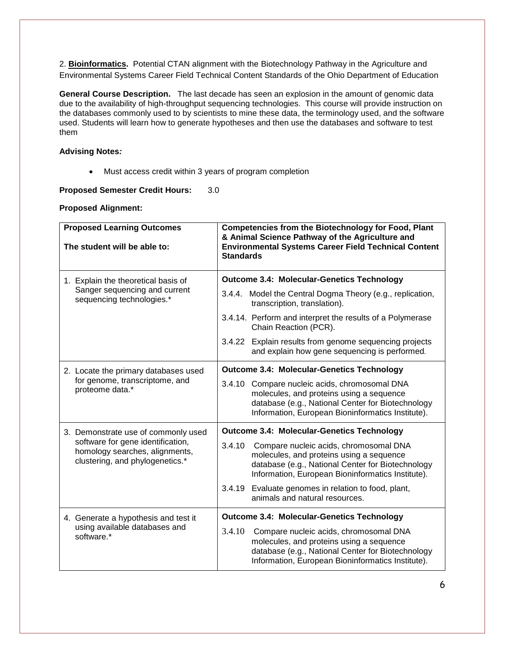2. **Bioinformatics.** Potential CTAN alignment with the Biotechnology Pathway in the Agriculture and Environmental Systems Career Field Technical Content Standards of the Ohio Department of Education

**General Course Description.** The last decade has seen an explosion in the amount of genomic data due to the availability of high-throughput sequencing technologies. This course will provide instruction on the databases commonly used to by scientists to mine these data, the terminology used, and the software used. Students will learn how to generate hypotheses and then use the databases and software to test them

## **Advising Notes***:*

Must access credit within 3 years of program completion

# **Proposed Semester Credit Hours:** 3.0

### **Proposed Alignment:**

| <b>Proposed Learning Outcomes</b><br>The student will be able to:                                                                             | <b>Competencies from the Biotechnology for Food, Plant</b><br>& Animal Science Pathway of the Agriculture and<br><b>Environmental Systems Career Field Technical Content</b><br><b>Standards</b>       |  |  |
|-----------------------------------------------------------------------------------------------------------------------------------------------|--------------------------------------------------------------------------------------------------------------------------------------------------------------------------------------------------------|--|--|
| 1. Explain the theoretical basis of                                                                                                           | <b>Outcome 3.4: Molecular-Genetics Technology</b>                                                                                                                                                      |  |  |
| Sanger sequencing and current<br>sequencing technologies.*                                                                                    | 3.4.4. Model the Central Dogma Theory (e.g., replication,<br>transcription, translation).                                                                                                              |  |  |
|                                                                                                                                               | 3.4.14. Perform and interpret the results of a Polymerase<br>Chain Reaction (PCR).                                                                                                                     |  |  |
|                                                                                                                                               | 3.4.22 Explain results from genome sequencing projects<br>and explain how gene sequencing is performed.                                                                                                |  |  |
| 2. Locate the primary databases used<br>for genome, transcriptome, and<br>proteome data.*                                                     | <b>Outcome 3.4: Molecular-Genetics Technology</b>                                                                                                                                                      |  |  |
|                                                                                                                                               | 3.4.10<br>Compare nucleic acids, chromosomal DNA<br>molecules, and proteins using a sequence<br>database (e.g., National Center for Biotechnology<br>Information, European Bioninformatics Institute). |  |  |
| 3. Demonstrate use of commonly used<br>software for gene identification,<br>homology searches, alignments,<br>clustering, and phylogenetics.* | <b>Outcome 3.4: Molecular-Genetics Technology</b>                                                                                                                                                      |  |  |
|                                                                                                                                               | 3.4.10<br>Compare nucleic acids, chromosomal DNA<br>molecules, and proteins using a sequence<br>database (e.g., National Center for Biotechnology<br>Information, European Bioninformatics Institute). |  |  |
|                                                                                                                                               | Evaluate genomes in relation to food, plant,<br>3.4.19<br>animals and natural resources.                                                                                                               |  |  |
| 4. Generate a hypothesis and test it<br>using available databases and<br>software.*                                                           | <b>Outcome 3.4: Molecular-Genetics Technology</b>                                                                                                                                                      |  |  |
|                                                                                                                                               | 3.4.10<br>Compare nucleic acids, chromosomal DNA<br>molecules, and proteins using a sequence<br>database (e.g., National Center for Biotechnology<br>Information, European Bioninformatics Institute). |  |  |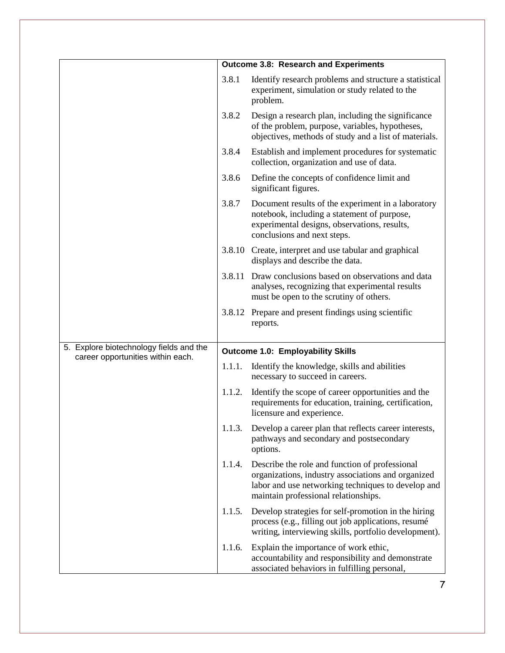|                                         |                                          | <b>Outcome 3.8: Research and Experiments</b>                                                                                                                                                       |
|-----------------------------------------|------------------------------------------|----------------------------------------------------------------------------------------------------------------------------------------------------------------------------------------------------|
|                                         | 3.8.1                                    | Identify research problems and structure a statistical<br>experiment, simulation or study related to the<br>problem.                                                                               |
|                                         | 3.8.2                                    | Design a research plan, including the significance<br>of the problem, purpose, variables, hypotheses,<br>objectives, methods of study and a list of materials.                                     |
|                                         | 3.8.4                                    | Establish and implement procedures for systematic<br>collection, organization and use of data.                                                                                                     |
|                                         | 3.8.6                                    | Define the concepts of confidence limit and<br>significant figures.                                                                                                                                |
|                                         | 3.8.7                                    | Document results of the experiment in a laboratory<br>notebook, including a statement of purpose,<br>experimental designs, observations, results,<br>conclusions and next steps.                   |
|                                         |                                          | 3.8.10 Create, interpret and use tabular and graphical<br>displays and describe the data.                                                                                                          |
|                                         |                                          | 3.8.11 Draw conclusions based on observations and data<br>analyses, recognizing that experimental results<br>must be open to the scrutiny of others.                                               |
|                                         |                                          | 3.8.12 Prepare and present findings using scientific<br>reports.                                                                                                                                   |
| 5. Explore biotechnology fields and the | <b>Outcome 1.0: Employability Skills</b> |                                                                                                                                                                                                    |
| career opportunities within each.       | 1.1.1.                                   | Identify the knowledge, skills and abilities<br>necessary to succeed in careers.                                                                                                                   |
|                                         | 1.1.2.                                   | Identify the scope of career opportunities and the<br>requirements for education, training, certification,<br>licensure and experience.                                                            |
|                                         | 1.1.3.                                   | Develop a career plan that reflects career interests,<br>pathways and secondary and postsecondary<br>options.                                                                                      |
|                                         | 1.1.4.                                   | Describe the role and function of professional<br>organizations, industry associations and organized<br>labor and use networking techniques to develop and<br>maintain professional relationships. |
|                                         | 1.1.5.                                   | Develop strategies for self-promotion in the hiring<br>process (e.g., filling out job applications, resumé<br>writing, interviewing skills, portfolio development).                                |
|                                         | 1.1.6.                                   | Explain the importance of work ethic,<br>accountability and responsibility and demonstrate<br>associated behaviors in fulfilling personal,                                                         |